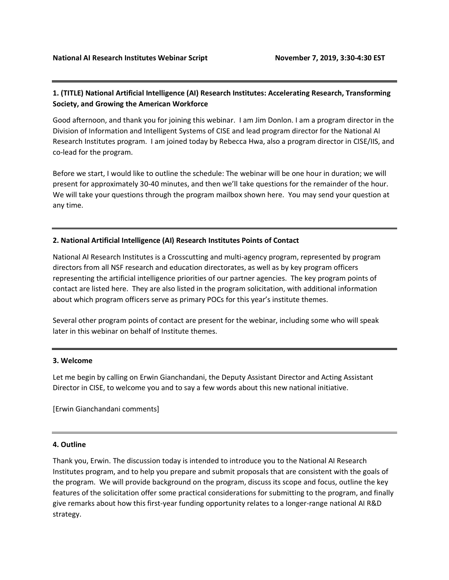## **1. (TITLE) National Artificial Intelligence (AI) Research Institutes: Accelerating Research, Transforming Society, and Growing the American Workforce**

Good afternoon, and thank you for joining this webinar. I am Jim Donlon. I am a program director in the Division of Information and Intelligent Systems of CISE and lead program director for the National AI Research Institutes program. I am joined today by Rebecca Hwa, also a program director in CISE/IIS, and co-lead for the program.

Before we start, I would like to outline the schedule: The webinar will be one hour in duration; we will present for approximately 30-40 minutes, and then we'll take questions for the remainder of the hour. We will take your questions through the program mailbox shown here. You may send your question at any time.

#### **2. National Artificial Intelligence (AI) Research Institutes Points of Contact**

National AI Research Institutes is a Crosscutting and multi-agency program, represented by program directors from all NSF research and education directorates, as well as by key program officers representing the artificial intelligence priorities of our partner agencies. The key program points of contact are listed here. They are also listed in the program solicitation, with additional information about which program officers serve as primary POCs for this year's institute themes.

Several other program points of contact are present for the webinar, including some who will speak later in this webinar on behalf of Institute themes.

#### **3. Welcome**

Let me begin by calling on Erwin Gianchandani, the Deputy Assistant Director and Acting Assistant Director in CISE, to welcome you and to say a few words about this new national initiative.

[Erwin Gianchandani comments]

#### **4. Outline**

Thank you, Erwin. The discussion today is intended to introduce you to the National AI Research Institutes program, and to help you prepare and submit proposals that are consistent with the goals of the program. We will provide background on the program, discuss its scope and focus, outline the key features of the solicitation offer some practical considerations for submitting to the program, and finally give remarks about how this first-year funding opportunity relates to a longer-range national AI R&D strategy.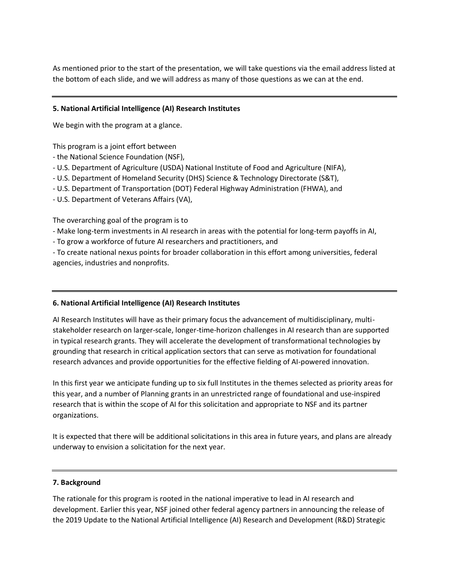As mentioned prior to the start of the presentation, we will take questions via the email address listed at the bottom of each slide, and we will address as many of those questions as we can at the end.

## **5. National Artificial Intelligence (AI) Research Institutes**

We begin with the program at a glance.

This program is a joint effort between

- the National Science Foundation (NSF),
- U.S. Department of Agriculture (USDA) National Institute of Food and Agriculture (NIFA),
- U.S. Department of Homeland Security (DHS) Science & Technology Directorate (S&T),
- U.S. Department of Transportation (DOT) Federal Highway Administration (FHWA), and
- U.S. Department of Veterans Affairs (VA),

The overarching goal of the program is to

- Make long-term investments in AI research in areas with the potential for long-term payoffs in AI,
- To grow a workforce of future AI researchers and practitioners, and

- To create national nexus points for broader collaboration in this effort among universities, federal agencies, industries and nonprofits.

#### **6. National Artificial Intelligence (AI) Research Institutes**

AI Research Institutes will have as their primary focus the advancement of multidisciplinary, multistakeholder research on larger-scale, longer-time-horizon challenges in AI research than are supported in typical research grants. They will accelerate the development of transformational technologies by grounding that research in critical application sectors that can serve as motivation for foundational research advances and provide opportunities for the effective fielding of AI-powered innovation.

In this first year we anticipate funding up to six full Institutes in the themes selected as priority areas for this year, and a number of Planning grants in an unrestricted range of foundational and use-inspired research that is within the scope of AI for this solicitation and appropriate to NSF and its partner organizations.

It is expected that there will be additional solicitations in this area in future years, and plans are already underway to envision a solicitation for the next year.

#### **7. Background**

The rationale for this program is rooted in the national imperative to lead in AI research and development. Earlier this year, NSF joined other federal agency partners in announcing the release of the 2019 Update to the National Artificial Intelligence (AI) Research and Development (R&D) Strategic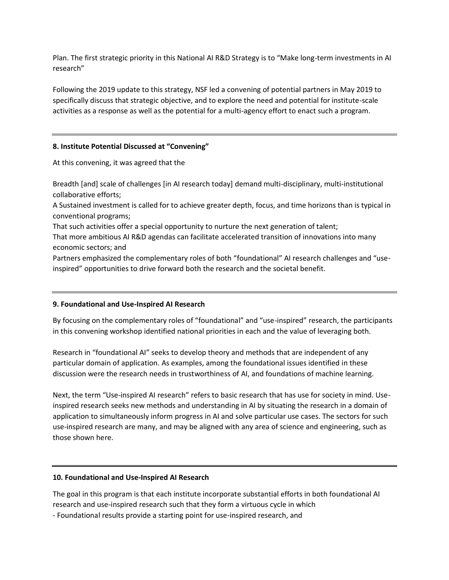Plan. The first strategic priority in this National AI R&D Strategy is to "Make long-term investments in AI research"

Following the 2019 update to this strategy, NSF led a convening of potential partners in May 2019 to specifically discuss that strategic objective, and to explore the need and potential for institute-scale activities as a response as well as the potential for a multi-agency effort to enact such a program.

#### **8. Institute Potential Discussed at "Convening"**

At this convening, it was agreed that the

Breadth [and] scale of challenges [in AI research today] demand multi-disciplinary, multi-institutional collaborative efforts;

A Sustained investment is called for to achieve greater depth, focus, and time horizons than is typical in conventional programs;

That such activities offer a special opportunity to nurture the next generation of talent;

That more ambitious AI R&D agendas can facilitate accelerated transition of innovations into many economic sectors; and

Partners emphasized the complementary roles of both "foundational" AI research challenges and "useinspired" opportunities to drive forward both the research and the societal benefit.

## **9. Foundational and Use-Inspired AI Research**

By focusing on the complementary roles of "foundational" and "use-inspired" research, the participants in this convening workshop identified national priorities in each and the value of leveraging both.

Research in "foundational AI" seeks to develop theory and methods that are independent of any particular domain of application. As examples, among the foundational issues identified in these discussion were the research needs in trustworthiness of AI, and foundations of machine learning.

Next, the term "Use-inspired AI research" refers to basic research that has use for society in mind. Useinspired research seeks new methods and understanding in AI by situating the research in a domain of application to simultaneously inform progress in AI and solve particular use cases. The sectors for such use-inspired research are many, and may be aligned with any area of science and engineering, such as those shown here.

#### **10. Foundational and Use-Inspired AI Research**

The goal in this program is that each institute incorporate substantial efforts in both foundational AI research and use-inspired research such that they form a virtuous cycle in which

- Foundational results provide a starting point for use-inspired research, and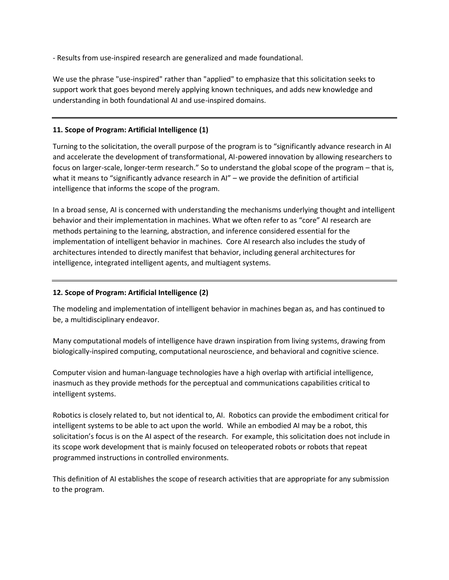- Results from use-inspired research are generalized and made foundational.

We use the phrase "use-inspired" rather than "applied" to emphasize that this solicitation seeks to support work that goes beyond merely applying known techniques, and adds new knowledge and understanding in both foundational AI and use-inspired domains.

## **11. Scope of Program: Artificial Intelligence (1)**

Turning to the solicitation, the overall purpose of the program is to "significantly advance research in AI and accelerate the development of transformational, AI-powered innovation by allowing researchers to focus on larger-scale, longer-term research." So to understand the global scope of the program – that is, what it means to "significantly advance research in AI" – we provide the definition of artificial intelligence that informs the scope of the program.

In a broad sense, AI is concerned with understanding the mechanisms underlying thought and intelligent behavior and their implementation in machines. What we often refer to as "core" AI research are methods pertaining to the learning, abstraction, and inference considered essential for the implementation of intelligent behavior in machines. Core AI research also includes the study of architectures intended to directly manifest that behavior, including general architectures for intelligence, integrated intelligent agents, and multiagent systems.

## **12. Scope of Program: Artificial Intelligence (2)**

The modeling and implementation of intelligent behavior in machines began as, and has continued to be, a multidisciplinary endeavor.

Many computational models of intelligence have drawn inspiration from living systems, drawing from biologically-inspired computing, computational neuroscience, and behavioral and cognitive science.

Computer vision and human-language technologies have a high overlap with artificial intelligence, inasmuch as they provide methods for the perceptual and communications capabilities critical to intelligent systems.

Robotics is closely related to, but not identical to, AI. Robotics can provide the embodiment critical for intelligent systems to be able to act upon the world. While an embodied AI may be a robot, this solicitation's focus is on the AI aspect of the research. For example, this solicitation does not include in its scope work development that is mainly focused on teleoperated robots or robots that repeat programmed instructions in controlled environments.

This definition of AI establishes the scope of research activities that are appropriate for any submission to the program.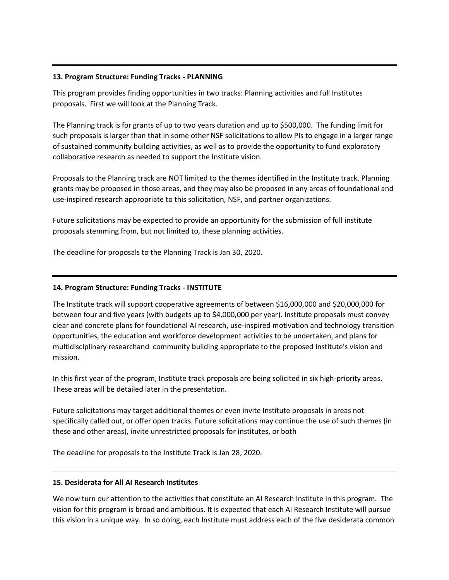#### **13. Program Structure: Funding Tracks - PLANNING**

This program provides finding opportunities in two tracks: Planning activities and full Institutes proposals. First we will look at the Planning Track.

The Planning track is for grants of up to two years duration and up to \$500,000. The funding limit for such proposals is larger than that in some other NSF solicitations to allow PIs to engage in a larger range of sustained community building activities, as well as to provide the opportunity to fund exploratory collaborative research as needed to support the Institute vision.

Proposals to the Planning track are NOT limited to the themes identified in the Institute track. Planning grants may be proposed in those areas, and they may also be proposed in any areas of foundational and use-inspired research appropriate to this solicitation, NSF, and partner organizations.

Future solicitations may be expected to provide an opportunity for the submission of full institute proposals stemming from, but not limited to, these planning activities.

The deadline for proposals to the Planning Track is Jan 30, 2020.

## **14. Program Structure: Funding Tracks - INSTITUTE**

The Institute track will support cooperative agreements of between \$16,000,000 and \$20,000,000 for between four and five years (with budgets up to \$4,000,000 per year). Institute proposals must convey clear and concrete plans for foundational AI research, use-inspired motivation and technology transition opportunities, the education and workforce development activities to be undertaken, and plans for multidisciplinary researchand community building appropriate to the proposed Institute's vision and mission.

In this first year of the program, Institute track proposals are being solicited in six high-priority areas. These areas will be detailed later in the presentation.

Future solicitations may target additional themes or even invite Institute proposals in areas not specifically called out, or offer open tracks. Future solicitations may continue the use of such themes (in these and other areas), invite unrestricted proposals for institutes, or both

The deadline for proposals to the Institute Track is Jan 28, 2020.

#### **15. Desiderata for All AI Research Institutes**

We now turn our attention to the activities that constitute an AI Research Institute in this program. The vision for this program is broad and ambitious. It is expected that each AI Research Institute will pursue this vision in a unique way. In so doing, each Institute must address each of the five desiderata common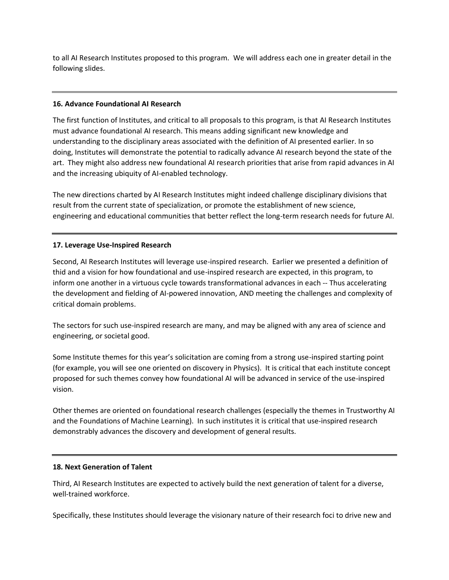to all AI Research Institutes proposed to this program. We will address each one in greater detail in the following slides.

#### **16. Advance Foundational AI Research**

The first function of Institutes, and critical to all proposals to this program, is that AI Research Institutes must advance foundational AI research. This means adding significant new knowledge and understanding to the disciplinary areas associated with the definition of AI presented earlier. In so doing, Institutes will demonstrate the potential to radically advance AI research beyond the state of the art. They might also address new foundational AI research priorities that arise from rapid advances in AI and the increasing ubiquity of AI-enabled technology.

The new directions charted by AI Research Institutes might indeed challenge disciplinary divisions that result from the current state of specialization, or promote the establishment of new science, engineering and educational communities that better reflect the long-term research needs for future AI.

#### **17. Leverage Use-Inspired Research**

Second, AI Research Institutes will leverage use-inspired research. Earlier we presented a definition of thid and a vision for how foundational and use-inspired research are expected, in this program, to inform one another in a virtuous cycle towards transformational advances in each -- Thus accelerating the development and fielding of AI-powered innovation, AND meeting the challenges and complexity of critical domain problems.

The sectors for such use-inspired research are many, and may be aligned with any area of science and engineering, or societal good.

Some Institute themes for this year's solicitation are coming from a strong use-inspired starting point (for example, you will see one oriented on discovery in Physics). It is critical that each institute concept proposed for such themes convey how foundational AI will be advanced in service of the use-inspired vision.

Other themes are oriented on foundational research challenges (especially the themes in Trustworthy AI and the Foundations of Machine Learning). In such institutes it is critical that use-inspired research demonstrably advances the discovery and development of general results.

#### **18. Next Generation of Talent**

Third, AI Research Institutes are expected to actively build the next generation of talent for a diverse, well-trained workforce.

Specifically, these Institutes should leverage the visionary nature of their research foci to drive new and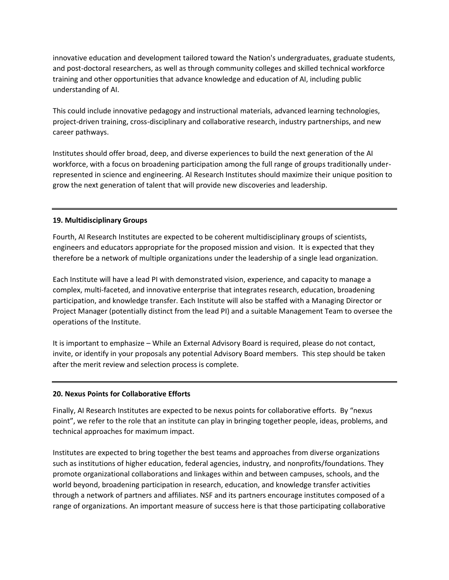innovative education and development tailored toward the Nation's undergraduates, graduate students, and post-doctoral researchers, as well as through community colleges and skilled technical workforce training and other opportunities that advance knowledge and education of AI, including public understanding of AI.

This could include innovative pedagogy and instructional materials, advanced learning technologies, project-driven training, cross-disciplinary and collaborative research, industry partnerships, and new career pathways.

Institutes should offer broad, deep, and diverse experiences to build the next generation of the AI workforce, with a focus on broadening participation among the full range of groups traditionally underrepresented in science and engineering. AI Research Institutes should maximize their unique position to grow the next generation of talent that will provide new discoveries and leadership.

#### **19. Multidisciplinary Groups**

Fourth, AI Research Institutes are expected to be coherent multidisciplinary groups of scientists, engineers and educators appropriate for the proposed mission and vision. It is expected that they therefore be a network of multiple organizations under the leadership of a single lead organization.

Each Institute will have a lead PI with demonstrated vision, experience, and capacity to manage a complex, multi-faceted, and innovative enterprise that integrates research, education, broadening participation, and knowledge transfer. Each Institute will also be staffed with a Managing Director or Project Manager (potentially distinct from the lead PI) and a suitable Management Team to oversee the operations of the Institute.

It is important to emphasize – While an External Advisory Board is required, please do not contact, invite, or identify in your proposals any potential Advisory Board members. This step should be taken after the merit review and selection process is complete.

#### **20. Nexus Points for Collaborative Efforts**

Finally, AI Research Institutes are expected to be nexus points for collaborative efforts. By "nexus point", we refer to the role that an institute can play in bringing together people, ideas, problems, and technical approaches for maximum impact.

Institutes are expected to bring together the best teams and approaches from diverse organizations such as institutions of higher education, federal agencies, industry, and nonprofits/foundations. They promote organizational collaborations and linkages within and between campuses, schools, and the world beyond, broadening participation in research, education, and knowledge transfer activities through a network of partners and affiliates. NSF and its partners encourage institutes composed of a range of organizations. An important measure of success here is that those participating collaborative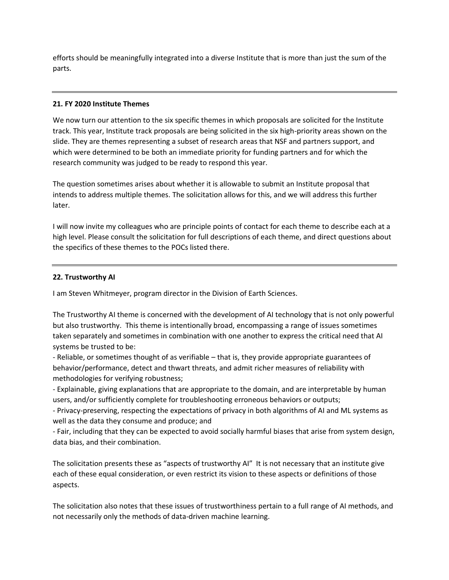efforts should be meaningfully integrated into a diverse Institute that is more than just the sum of the parts.

#### **21. FY 2020 Institute Themes**

We now turn our attention to the six specific themes in which proposals are solicited for the Institute track. This year, Institute track proposals are being solicited in the six high-priority areas shown on the slide. They are themes representing a subset of research areas that NSF and partners support, and which were determined to be both an immediate priority for funding partners and for which the research community was judged to be ready to respond this year.

The question sometimes arises about whether it is allowable to submit an Institute proposal that intends to address multiple themes. The solicitation allows for this, and we will address this further later.

I will now invite my colleagues who are principle points of contact for each theme to describe each at a high level. Please consult the solicitation for full descriptions of each theme, and direct questions about the specifics of these themes to the POCs listed there.

#### **22. Trustworthy AI**

I am Steven Whitmeyer, program director in the Division of Earth Sciences.

The Trustworthy AI theme is concerned with the development of AI technology that is not only powerful but also trustworthy. This theme is intentionally broad, encompassing a range of issues sometimes taken separately and sometimes in combination with one another to express the critical need that AI systems be trusted to be:

- Reliable, or sometimes thought of as verifiable – that is, they provide appropriate guarantees of behavior/performance, detect and thwart threats, and admit richer measures of reliability with methodologies for verifying robustness;

- Explainable, giving explanations that are appropriate to the domain, and are interpretable by human users, and/or sufficiently complete for troubleshooting erroneous behaviors or outputs;

- Privacy-preserving, respecting the expectations of privacy in both algorithms of AI and ML systems as well as the data they consume and produce; and

- Fair, including that they can be expected to avoid socially harmful biases that arise from system design, data bias, and their combination.

The solicitation presents these as "aspects of trustworthy AI" It is not necessary that an institute give each of these equal consideration, or even restrict its vision to these aspects or definitions of those aspects.

The solicitation also notes that these issues of trustworthiness pertain to a full range of AI methods, and not necessarily only the methods of data-driven machine learning.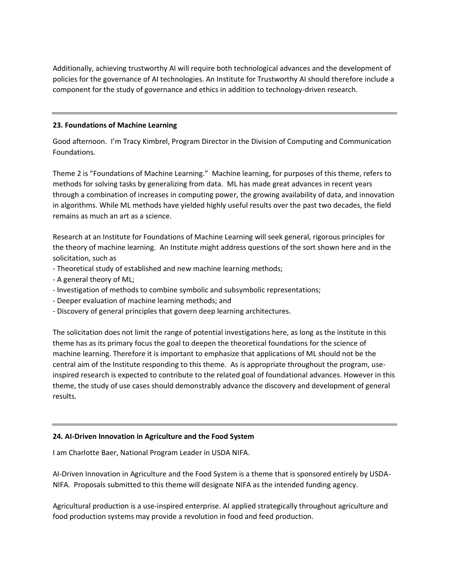Additionally, achieving trustworthy AI will require both technological advances and the development of policies for the governance of AI technologies. An Institute for Trustworthy AI should therefore include a component for the study of governance and ethics in addition to technology-driven research.

## **23. Foundations of Machine Learning**

Good afternoon. I'm Tracy Kimbrel, Program Director in the Division of Computing and Communication Foundations.

Theme 2 is "Foundations of Machine Learning." Machine learning, for purposes of this theme, refers to methods for solving tasks by generalizing from data. ML has made great advances in recent years through a combination of increases in computing power, the growing availability of data, and innovation in algorithms. While ML methods have yielded highly useful results over the past two decades, the field remains as much an art as a science.

Research at an Institute for Foundations of Machine Learning will seek general, rigorous principles for the theory of machine learning. An Institute might address questions of the sort shown here and in the solicitation, such as

- Theoretical study of established and new machine learning methods;
- A general theory of ML;
- Investigation of methods to combine symbolic and subsymbolic representations;
- Deeper evaluation of machine learning methods; and
- Discovery of general principles that govern deep learning architectures.

The solicitation does not limit the range of potential investigations here, as long as the institute in this theme has as its primary focus the goal to deepen the theoretical foundations for the science of machine learning. Therefore it is important to emphasize that applications of ML should not be the central aim of the Institute responding to this theme. As is appropriate throughout the program, useinspired research is expected to contribute to the related goal of foundational advances. However in this theme, the study of use cases should demonstrably advance the discovery and development of general results.

#### **24. AI-Driven Innovation in Agriculture and the Food System**

I am Charlotte Baer, National Program Leader in USDA NIFA.

AI-Driven Innovation in Agriculture and the Food System is a theme that is sponsored entirely by USDA-NIFA. Proposals submitted to this theme will designate NIFA as the intended funding agency.

Agricultural production is a use-inspired enterprise. AI applied strategically throughout agriculture and food production systems may provide a revolution in food and feed production.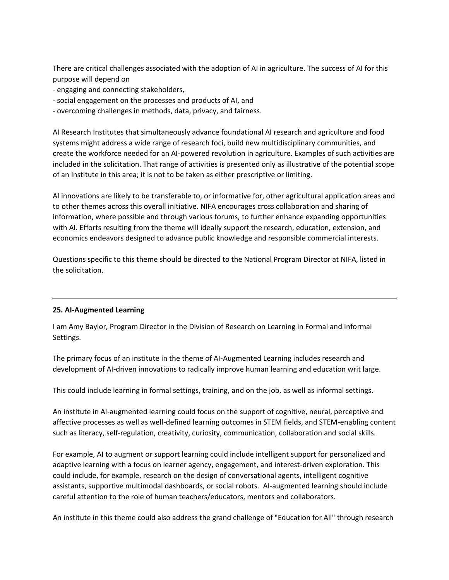There are critical challenges associated with the adoption of AI in agriculture. The success of AI for this purpose will depend on

- engaging and connecting stakeholders,
- social engagement on the processes and products of AI, and
- overcoming challenges in methods, data, privacy, and fairness.

AI Research Institutes that simultaneously advance foundational AI research and agriculture and food systems might address a wide range of research foci, build new multidisciplinary communities, and create the workforce needed for an AI-powered revolution in agriculture. Examples of such activities are included in the solicitation. That range of activities is presented only as illustrative of the potential scope of an Institute in this area; it is not to be taken as either prescriptive or limiting.

AI innovations are likely to be transferable to, or informative for, other agricultural application areas and to other themes across this overall initiative. NIFA encourages cross collaboration and sharing of information, where possible and through various forums, to further enhance expanding opportunities with AI. Efforts resulting from the theme will ideally support the research, education, extension, and economics endeavors designed to advance public knowledge and responsible commercial interests.

Questions specific to this theme should be directed to the National Program Director at NIFA, listed in the solicitation.

#### **25. AI-Augmented Learning**

I am Amy Baylor, Program Director in the Division of Research on Learning in Formal and Informal Settings.

The primary focus of an institute in the theme of AI-Augmented Learning includes research and development of AI-driven innovations to radically improve human learning and education writ large.

This could include learning in formal settings, training, and on the job, as well as informal settings.

An institute in AI-augmented learning could focus on the support of cognitive, neural, perceptive and affective processes as well as well-defined learning outcomes in STEM fields, and STEM-enabling content such as literacy, self-regulation, creativity, curiosity, communication, collaboration and social skills.

For example, AI to augment or support learning could include intelligent support for personalized and adaptive learning with a focus on learner agency, engagement, and interest-driven exploration. This could include, for example, research on the design of conversational agents, intelligent cognitive assistants, supportive multimodal dashboards, or social robots. AI-augmented learning should include careful attention to the role of human teachers/educators, mentors and collaborators.

An institute in this theme could also address the grand challenge of "Education for All" through research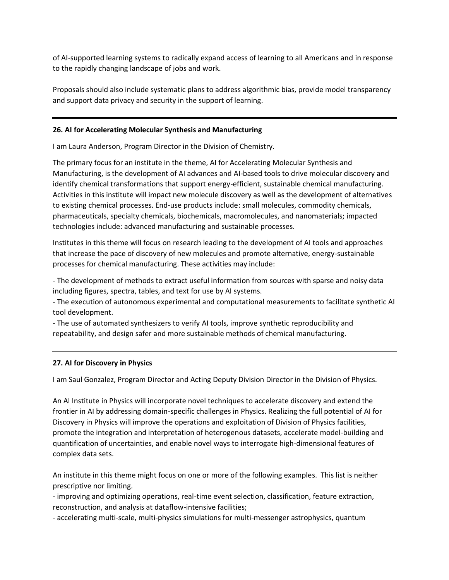of AI-supported learning systems to radically expand access of learning to all Americans and in response to the rapidly changing landscape of jobs and work.

Proposals should also include systematic plans to address algorithmic bias, provide model transparency and support data privacy and security in the support of learning.

#### **26. AI for Accelerating Molecular Synthesis and Manufacturing**

I am Laura Anderson, Program Director in the Division of Chemistry.

The primary focus for an institute in the theme, AI for Accelerating Molecular Synthesis and Manufacturing, is the development of AI advances and AI-based tools to drive molecular discovery and identify chemical transformations that support energy-efficient, sustainable chemical manufacturing. Activities in this institute will impact new molecule discovery as well as the development of alternatives to existing chemical processes. End-use products include: small molecules, commodity chemicals, pharmaceuticals, specialty chemicals, biochemicals, macromolecules, and nanomaterials; impacted technologies include: advanced manufacturing and sustainable processes.

Institutes in this theme will focus on research leading to the development of AI tools and approaches that increase the pace of discovery of new molecules and promote alternative, energy-sustainable processes for chemical manufacturing. These activities may include:

- The development of methods to extract useful information from sources with sparse and noisy data including figures, spectra, tables, and text for use by AI systems.

- The execution of autonomous experimental and computational measurements to facilitate synthetic AI tool development.

- The use of automated synthesizers to verify AI tools, improve synthetic reproducibility and repeatability, and design safer and more sustainable methods of chemical manufacturing.

#### **27. AI for Discovery in Physics**

I am Saul Gonzalez, Program Director and Acting Deputy Division Director in the Division of Physics.

An AI Institute in Physics will incorporate novel techniques to accelerate discovery and extend the frontier in AI by addressing domain-specific challenges in Physics. Realizing the full potential of AI for Discovery in Physics will improve the operations and exploitation of Division of Physics facilities, promote the integration and interpretation of heterogenous datasets, accelerate model-building and quantification of uncertainties, and enable novel ways to interrogate high-dimensional features of complex data sets.

An institute in this theme might focus on one or more of the following examples. This list is neither prescriptive nor limiting.

- improving and optimizing operations, real-time event selection, classification, feature extraction, reconstruction, and analysis at dataflow-intensive facilities;

- accelerating multi-scale, multi-physics simulations for multi-messenger astrophysics, quantum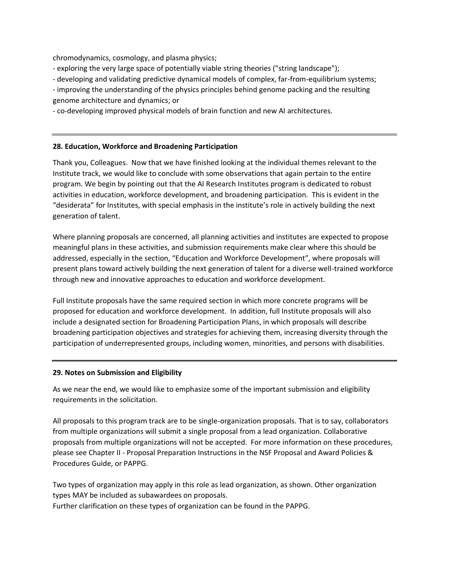chromodynamics, cosmology, and plasma physics;

- exploring the very large space of potentially viable string theories ("string landscape");

- developing and validating predictive dynamical models of complex, far-from-equilibrium systems;

- improving the understanding of the physics principles behind genome packing and the resulting genome architecture and dynamics; or

- co-developing improved physical models of brain function and new AI architectures.

#### **28. Education, Workforce and Broadening Participation**

Thank you, Colleagues. Now that we have finished looking at the individual themes relevant to the Institute track, we would like to conclude with some observations that again pertain to the entire program. We begin by pointing out that the AI Research Institutes program is dedicated to robust activities in education, workforce development, and broadening participation. This is evident in the "desiderata" for Institutes, with special emphasis in the institute's role in actively building the next generation of talent.

Where planning proposals are concerned, all planning activities and institutes are expected to propose meaningful plans in these activities, and submission requirements make clear where this should be addressed, especially in the section, "Education and Workforce Development", where proposals will present plans toward actively building the next generation of talent for a diverse well-trained workforce through new and innovative approaches to education and workforce development.

Full Institute proposals have the same required section in which more concrete programs will be proposed for education and workforce development. In addition, full Institute proposals will also include a designated section for Broadening Participation Plans, in which proposals will describe broadening participation objectives and strategies for achieving them, increasing diversity through the participation of underrepresented groups, including women, minorities, and persons with disabilities.

#### **29. Notes on Submission and Eligibility**

As we near the end, we would like to emphasize some of the important submission and eligibility requirements in the solicitation.

All proposals to this program track are to be single-organization proposals. That is to say, collaborators from multiple organizations will submit a single proposal from a lead organization. Collaborative proposals from multiple organizations will not be accepted. For more information on these procedures, please see Chapter II - Proposal Preparation Instructions in the NSF Proposal and Award Policies & Procedures Guide, or PAPPG.

Two types of organization may apply in this role as lead organization, as shown. Other organization types MAY be included as subawardees on proposals. Further clarification on these types of organization can be found in the PAPPG.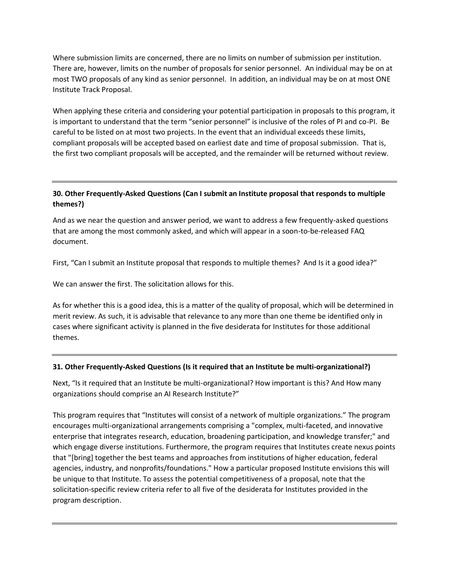Where submission limits are concerned, there are no limits on number of submission per institution. There are, however, limits on the number of proposals for senior personnel. An individual may be on at most TWO proposals of any kind as senior personnel. In addition, an individual may be on at most ONE Institute Track Proposal.

When applying these criteria and considering your potential participation in proposals to this program, it is important to understand that the term "senior personnel" is inclusive of the roles of PI and co-PI. Be careful to be listed on at most two projects. In the event that an individual exceeds these limits, compliant proposals will be accepted based on earliest date and time of proposal submission. That is, the first two compliant proposals will be accepted, and the remainder will be returned without review.

## **30. Other Frequently-Asked Questions (Can I submit an Institute proposal that responds to multiple themes?)**

And as we near the question and answer period, we want to address a few frequently-asked questions that are among the most commonly asked, and which will appear in a soon-to-be-released FAQ document.

First, "Can I submit an Institute proposal that responds to multiple themes? And Is it a good idea?"

We can answer the first. The solicitation allows for this.

As for whether this is a good idea, this is a matter of the quality of proposal, which will be determined in merit review. As such, it is advisable that relevance to any more than one theme be identified only in cases where significant activity is planned in the five desiderata for Institutes for those additional themes.

#### **31. Other Frequently-Asked Questions (Is it required that an Institute be multi-organizational?)**

Next, "Is it required that an Institute be multi-organizational? How important is this? And How many organizations should comprise an AI Research Institute?"

This program requires that "Institutes will consist of a network of multiple organizations." The program encourages multi-organizational arrangements comprising a "complex, multi-faceted, and innovative enterprise that integrates research, education, broadening participation, and knowledge transfer;" and which engage diverse institutions. Furthermore, the program requires that Institutes create nexus points that "[bring] together the best teams and approaches from institutions of higher education, federal agencies, industry, and nonprofits/foundations." How a particular proposed Institute envisions this will be unique to that Institute. To assess the potential competitiveness of a proposal, note that the solicitation-specific review criteria refer to all five of the desiderata for Institutes provided in the program description.